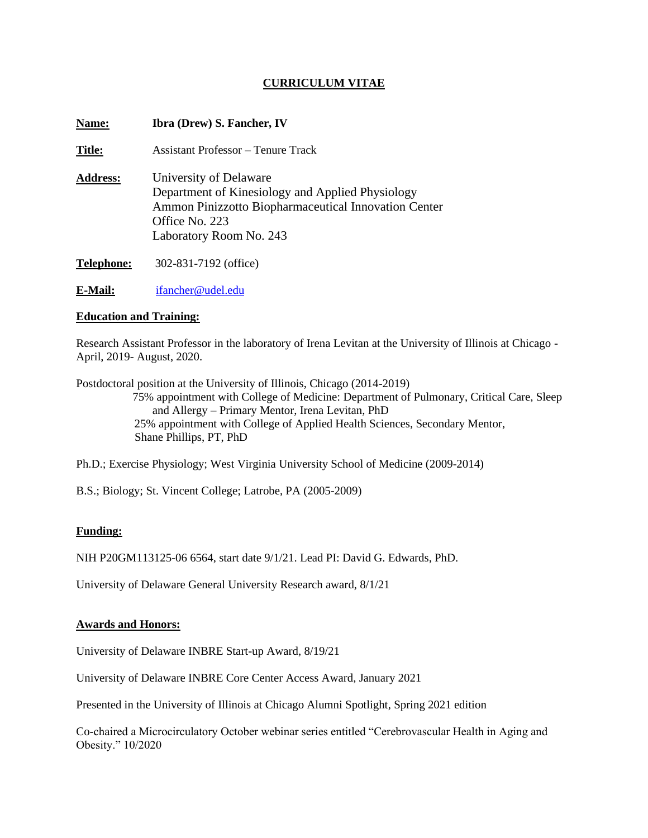# **CURRICULUM VITAE**

| Name:           | <b>Ibra (Drew) S. Fancher, IV</b>                                                                                                                                               |
|-----------------|---------------------------------------------------------------------------------------------------------------------------------------------------------------------------------|
| <b>Title:</b>   | Assistant Professor – Tenure Track                                                                                                                                              |
| <b>Address:</b> | University of Delaware<br>Department of Kinesiology and Applied Physiology<br>Ammon Pinizzotto Biopharmaceutical Innovation Center<br>Office No. 223<br>Laboratory Room No. 243 |
| Telephone:      | 302-831-7192 (office)                                                                                                                                                           |
| E-Mail:         | ifancher@udel.edu                                                                                                                                                               |

# **Education and Training:**

Research Assistant Professor in the laboratory of Irena Levitan at the University of Illinois at Chicago - April, 2019- August, 2020.

Postdoctoral position at the University of Illinois, Chicago (2014-2019) 75% appointment with College of Medicine: Department of Pulmonary, Critical Care, Sleep and Allergy – Primary Mentor, Irena Levitan, PhD 25% appointment with College of Applied Health Sciences, Secondary Mentor, Shane Phillips, PT, PhD

Ph.D.; Exercise Physiology; West Virginia University School of Medicine (2009-2014)

B.S.; Biology; St. Vincent College; Latrobe, PA (2005-2009)

# **Funding:**

NIH P20GM113125-06 6564, start date 9/1/21. Lead PI: David G. Edwards, PhD.

University of Delaware General University Research award, 8/1/21

#### **Awards and Honors:**

University of Delaware INBRE Start-up Award, 8/19/21

University of Delaware INBRE Core Center Access Award, January 2021

Presented in the University of Illinois at Chicago Alumni Spotlight, Spring 2021 edition

Co-chaired a Microcirculatory October webinar series entitled "Cerebrovascular Health in Aging and Obesity." 10/2020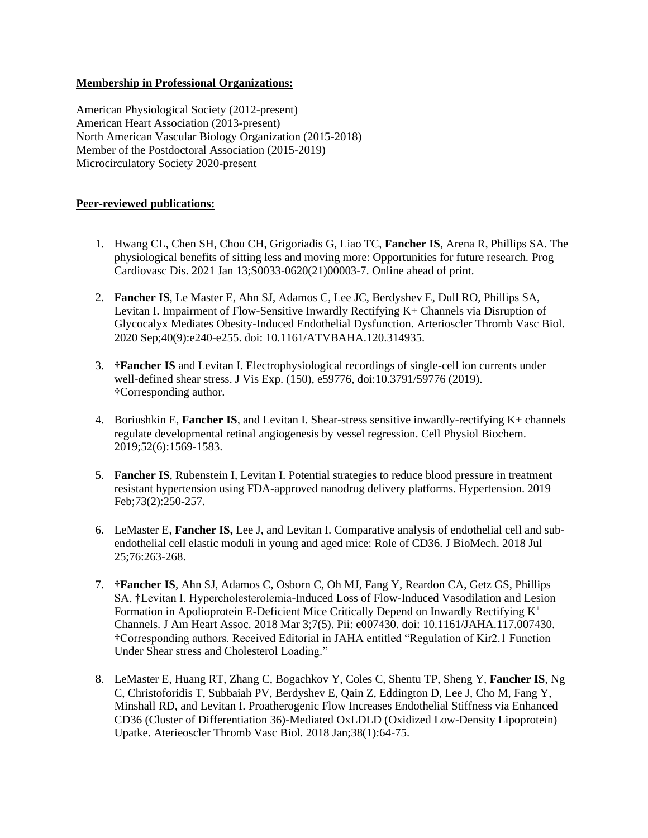# **Membership in Professional Organizations:**

American Physiological Society (2012-present) American Heart Association (2013-present) North American Vascular Biology Organization (2015-2018) Member of the Postdoctoral Association (2015-2019) Microcirculatory Society 2020-present

# **Peer-reviewed publications:**

- 1. Hwang CL, Chen SH, Chou CH, Grigoriadis G, Liao TC, **Fancher IS**, Arena R, Phillips SA. The physiological benefits of sitting less and moving more: Opportunities for future research. Prog Cardiovasc Dis. 2021 Jan 13;S0033-0620(21)00003-7. Online ahead of print.
- 2. **Fancher IS**, Le Master E, Ahn SJ, Adamos C, Lee JC, Berdyshev E, Dull RO, Phillips SA, Levitan I. Impairment of Flow-Sensitive Inwardly Rectifying K+ Channels via Disruption of Glycocalyx Mediates Obesity-Induced Endothelial Dysfunction. Arterioscler Thromb Vasc Biol. 2020 Sep;40(9):e240-e255. doi: 10.1161/ATVBAHA.120.314935.
- 3. **†Fancher IS** and Levitan I. Electrophysiological recordings of single-cell ion currents under well-defined shear stress. J Vis Exp. (150), e59776, doi:10.3791/59776 (2019). **†**Corresponding author.
- 4. Boriushkin E, **Fancher IS**, and Levitan I. Shear-stress sensitive inwardly-rectifying K+ channels regulate developmental retinal angiogenesis by vessel regression. Cell Physiol Biochem. 2019;52(6):1569-1583.
- 5. **Fancher IS**, Rubenstein I, Levitan I. Potential strategies to reduce blood pressure in treatment resistant hypertension using FDA-approved nanodrug delivery platforms. Hypertension. 2019 Feb;73(2):250-257.
- 6. LeMaster E, **Fancher IS,** Lee J, and Levitan I. Comparative analysis of endothelial cell and subendothelial cell elastic moduli in young and aged mice: Role of CD36. J BioMech. 2018 Jul 25;76:263-268.
- 7. **†Fancher IS**, Ahn SJ, Adamos C, Osborn C, Oh MJ, Fang Y, Reardon CA, Getz GS, Phillips SA, †Levitan I. Hypercholesterolemia-Induced Loss of Flow-Induced Vasodilation and Lesion Formation in Apolioprotein E-Deficient Mice Critically Depend on Inwardly Rectifying  $K^+$ Channels. J Am Heart Assoc. 2018 Mar 3;7(5). Pii: e007430. doi: 10.1161/JAHA.117.007430. †Corresponding authors. Received Editorial in JAHA entitled "Regulation of Kir2.1 Function Under Shear stress and Cholesterol Loading."
- 8. LeMaster E, Huang RT, Zhang C, Bogachkov Y, Coles C, Shentu TP, Sheng Y, **Fancher IS**, Ng C, Christoforidis T, Subbaiah PV, Berdyshev E, Qain Z, Eddington D, Lee J, Cho M, Fang Y, Minshall RD, and Levitan I. Proatherogenic Flow Increases Endothelial Stiffness via Enhanced CD36 (Cluster of Differentiation 36)-Mediated OxLDLD (Oxidized Low-Density Lipoprotein) Upatke. Aterieoscler Thromb Vasc Biol. 2018 Jan;38(1):64-75.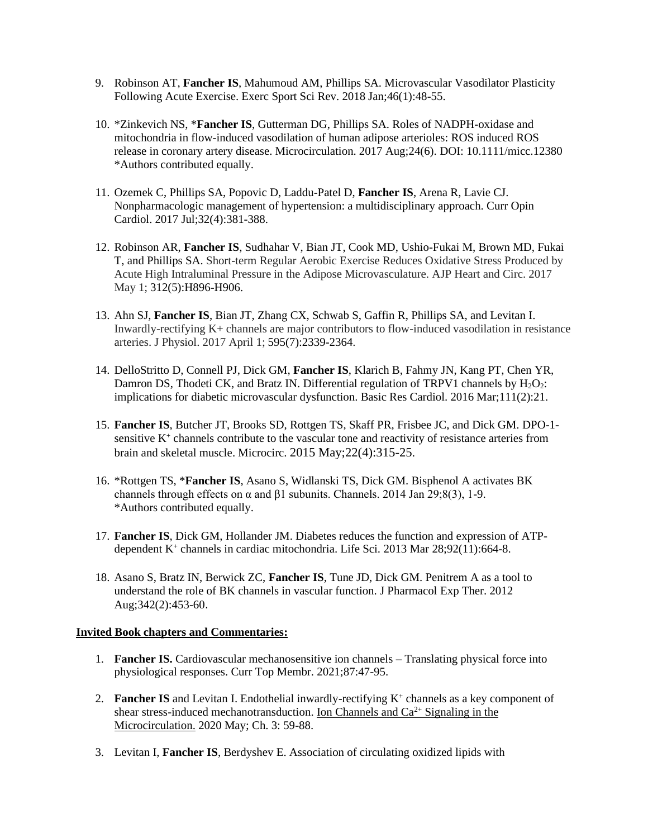- 9. Robinson AT, **Fancher IS**, Mahumoud AM, Phillips SA. Microvascular Vasodilator Plasticity Following Acute Exercise. Exerc Sport Sci Rev. 2018 Jan;46(1):48-55.
- 10. \*Zinkevich NS, \***Fancher IS**, Gutterman DG, Phillips SA. Roles of NADPH-oxidase and mitochondria in flow-induced vasodilation of human adipose arterioles: ROS induced ROS release in coronary artery disease. Microcirculation. 2017 Aug;24(6). DOI: 10.1111/micc.12380 \*Authors contributed equally.
- 11. Ozemek C, Phillips SA, Popovic D, Laddu-Patel D, **Fancher IS**, Arena R, Lavie CJ. Nonpharmacologic management of hypertension: a multidisciplinary approach. Curr Opin Cardiol. 2017 Jul;32(4):381-388.
- 12. Robinson AR, **Fancher IS**, Sudhahar V, Bian JT, Cook MD, Ushio-Fukai M, Brown MD, Fukai T, and Phillips SA. Short-term Regular Aerobic Exercise Reduces Oxidative Stress Produced by Acute High Intraluminal Pressure in the Adipose Microvasculature. AJP Heart and Circ. 2017 May 1; 312(5):H896-H906.
- 13. Ahn SJ, **Fancher IS**, Bian JT, Zhang CX, Schwab S, Gaffin R, Phillips SA, and Levitan I. Inwardly-rectifying K+ channels are major contributors to flow-induced vasodilation in resistance arteries. J Physiol. 2017 April 1; 595(7):2339-2364.
- 14. DelloStritto D, Connell PJ, Dick GM, **Fancher IS**, Klarich B, Fahmy JN, Kang PT, Chen YR, Damron DS, Thodeti CK, and Bratz IN. Differential regulation of TRPV1 channels by  $H_2O_2$ : implications for diabetic microvascular dysfunction. Basic Res Cardiol. 2016 Mar;111(2):21.
- 15. **Fancher IS**, Butcher JT, Brooks SD, Rottgen TS, Skaff PR, Frisbee JC, and Dick GM. DPO-1 sensitive K<sup>+</sup> channels contribute to the vascular tone and reactivity of resistance arteries from brain and skeletal muscle. Microcirc. 2015 May;22(4):315-25.
- 16. \*Rottgen TS, \***Fancher IS**, Asano S, Widlanski TS, Dick GM. Bisphenol A activates BK channels through effects on  $\alpha$  and  $\beta$ 1 subunits. Channels. 2014 Jan 29;8(3), 1-9. \*Authors contributed equally.
- 17. **Fancher IS**, Dick GM, Hollander JM. Diabetes reduces the function and expression of ATPdependent K<sup>+</sup> channels in cardiac mitochondria. Life Sci. 2013 Mar 28;92(11):664-8.
- 18. Asano S, Bratz IN, Berwick ZC, **Fancher IS**, Tune JD, Dick GM. Penitrem A as a tool to understand the role of BK channels in vascular function. J Pharmacol Exp Ther. 2012 Aug;342(2):453-60.

# **Invited Book chapters and Commentaries:**

- 1. **Fancher IS.** Cardiovascular mechanosensitive ion channels Translating physical force into physiological responses. Curr Top Membr. 2021;87:47-95.
- 2. Fancher IS and Levitan I. Endothelial inwardly-rectifying K<sup>+</sup> channels as a key component of shear stress-induced mechanotransduction. Ion Channels and  $Ca^{2+}$  Signaling in the Microcirculation. 2020 May; Ch. 3: 59-88.
- 3. Levitan I, **Fancher IS**, Berdyshev E. Association of circulating oxidized lipids with